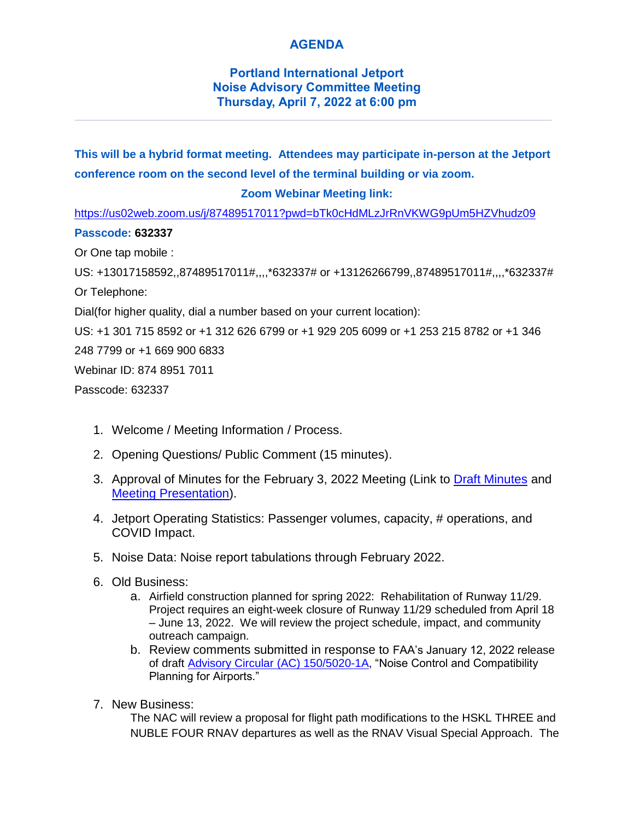## **AGENDA**

## **Portland International Jetport Noise Advisory Committee Meeting Thursday, April 7, 2022 at 6:00 pm**

**This will be a hybrid format meeting. Attendees may participate in-person at the Jetport conference room on the second level of the terminal building or via zoom.**

## **Zoom Webinar Meeting link:**

<https://us02web.zoom.us/j/87489517011?pwd=bTk0cHdMLzJrRnVKWG9pUm5HZVhudz09>

## **Passcode: 632337**

Or One tap mobile :

US: +13017158592,,87489517011#,,,,\*632337# or +13126266799,,87489517011#,,,,\*632337# Or Telephone:

Dial(for higher quality, dial a number based on your current location):

US: +1 301 715 8592 or +1 312 626 6799 or +1 929 205 6099 or +1 253 215 8782 or +1 346

248 7799 or +1 669 900 6833

Webinar ID: 874 8951 7011

Passcode: 632337

- 1. Welcome / Meeting Information / Process.
- 2. Opening Questions/ Public Comment (15 minutes).
- 3. Approval of Minutes for the February 3, 2022 Meeting (Link to [Draft Minutes](https://portlandjetport.org/sites/default/files/files/Draft%20NAC%20Meeting%20Minutes%2002-03-2022.docx.pdf) and [Meeting Presentation\)](https://portlandjetport.org/sites/default/files/files/NAC%20Meeting%20Presentation%2002032022.pdf).
- 4. Jetport Operating Statistics: Passenger volumes, capacity, # operations, and COVID Impact.
- 5. Noise Data: Noise report tabulations through February 2022.
- 6. Old Business:
	- a. Airfield construction planned for spring 2022: Rehabilitation of Runway 11/29. Project requires an eight-week closure of Runway 11/29 scheduled from April 18 – June 13, 2022. We will review the project schedule, impact, and community outreach campaign.
	- b. Review comments submitted in response to FAA's January 12, 2022 release of draft [Advisory Circular \(AC\) 150/5020-1A,](https://www.faa.gov/airports/resources/draft_advisory_circulars/) "Noise Control and Compatibility Planning for Airports."
- 7. New Business:

The NAC will review a proposal for flight path modifications to the HSKL THREE and NUBLE FOUR RNAV departures as well as the RNAV Visual Special Approach. The